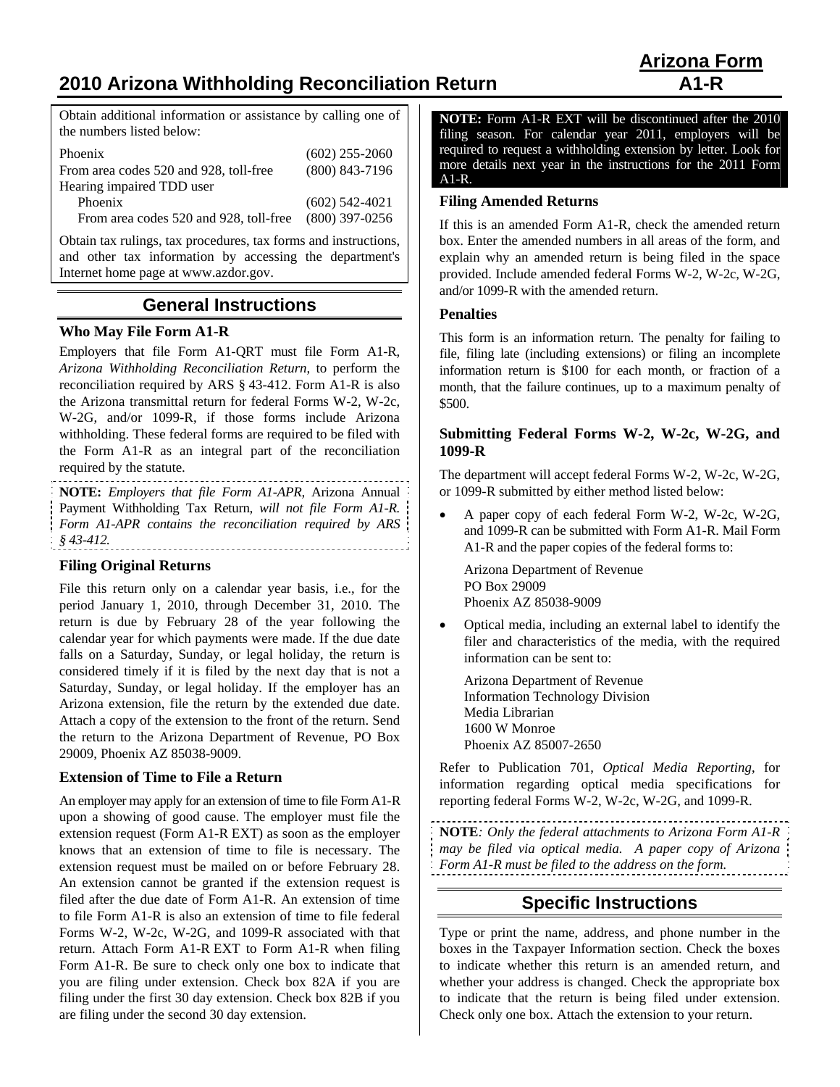# **2010 Arizona Withholding Reconciliation Return A1-R**

Obtain additional information or assistance by calling one of the numbers listed below:

| Phoenix                                | $(602)$ 255-2060 |
|----------------------------------------|------------------|
| From area codes 520 and 928, toll-free | $(800)$ 843-7196 |
| Hearing impaired TDD user              |                  |
| Phoenix                                | $(602)$ 542-4021 |
| From area codes 520 and 928, toll-free | $(800)$ 397-0256 |

Obtain tax rulings, tax procedures, tax forms and instructions, and other tax information by accessing the department's Internet home page at www.azdor.gov.

# **General Instructions**

#### **Who May File Form A1-R**

Employers that file Form A1-QRT must file Form A1-R, *Arizona Withholding Reconciliation Return*, to perform the reconciliation required by ARS § 43-412. Form A1-R is also the Arizona transmittal return for federal Forms W-2, W-2c, W-2G, and/or 1099-R, if those forms include Arizona withholding. These federal forms are required to be filed with the Form A1-R as an integral part of the reconciliation required by the statute.

**NOTE:** *Employers that file Form A1-APR,* Arizona Annual Payment Withholding Tax Return*, will not file Form A1-R. Form A1-APR contains the reconciliation required by ARS § 43-412.* 

#### **Filing Original Returns**

File this return only on a calendar year basis, i.e., for the period January 1, 2010, through December 31, 2010. The return is due by February 28 of the year following the calendar year for which payments were made. If the due date falls on a Saturday, Sunday, or legal holiday, the return is considered timely if it is filed by the next day that is not a Saturday, Sunday, or legal holiday. If the employer has an Arizona extension, file the return by the extended due date. Attach a copy of the extension to the front of the return. Send the return to the Arizona Department of Revenue, PO Box 29009, Phoenix AZ 85038-9009.

#### **Extension of Time to File a Return**

An employer may apply for an extension of time to file Form A1-R upon a showing of good cause. The employer must file the extension request (Form A1-R EXT) as soon as the employer knows that an extension of time to file is necessary. The extension request must be mailed on or before February 28. An extension cannot be granted if the extension request is filed after the due date of Form A1-R. An extension of time to file Form A1-R is also an extension of time to file federal Forms W-2, W-2c, W-2G, and 1099-R associated with that return. Attach Form A1-R EXT to Form A1-R when filing Form A1-R. Be sure to check only one box to indicate that you are filing under extension. Check box 82A if you are filing under the first 30 day extension. Check box 82B if you are filing under the second 30 day extension.

**NOTE:** Form A1-R EXT will be discontinued after the 2010 filing season. For calendar year 2011, employers will be required to request a withholding extension by letter. Look for more details next year in the instructions for the 2011 Form A1-R.

#### **Filing Amended Returns**

If this is an amended Form A1-R, check the amended return box. Enter the amended numbers in all areas of the form, and explain why an amended return is being filed in the space provided. Include amended federal Forms W-2, W-2c, W-2G, and/or 1099-R with the amended return.

#### **Penalties**

This form is an information return. The penalty for failing to file, filing late (including extensions) or filing an incomplete information return is \$100 for each month, or fraction of a month, that the failure continues, up to a maximum penalty of \$500.

#### **Submitting Federal Forms W-2, W-2c, W-2G, and 1099-R**

The department will accept federal Forms W-2, W-2c, W-2G, or 1099-R submitted by either method listed below:

 A paper copy of each federal Form W-2, W-2c, W-2G, and 1099-R can be submitted with Form A1-R. Mail Form A1-R and the paper copies of the federal forms to:

Arizona Department of Revenue PO Box 29009 Phoenix AZ 85038-9009

 Optical media, including an external label to identify the filer and characteristics of the media, with the required information can be sent to:

 Arizona Department of Revenue Information Technology Division Media Librarian 1600 W Monroe Phoenix AZ 85007-2650

Refer to Publication 701, *Optical Media Reporting*, for information regarding optical media specifications for reporting federal Forms W-2, W-2c, W-2G, and 1099-R.

**NOTE***: Only the federal attachments to Arizona Form A1-R may be filed via optical media. A paper copy of Arizona Form A1-R must be filed to the address on the form.* 

# **Specific Instructions**

Type or print the name, address, and phone number in the boxes in the Taxpayer Information section. Check the boxes to indicate whether this return is an amended return, and whether your address is changed. Check the appropriate box to indicate that the return is being filed under extension. Check only one box. Attach the extension to your return.